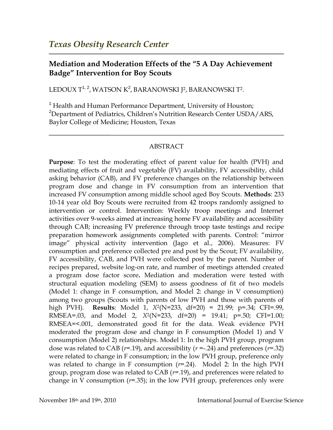## **Mediation and Moderation Effects of the "5 A Day Achievement Badge" Intervention for Boy Scouts**

LEDOUX T<sup>1, 2</sup>, WATSON K<sup>2</sup>, BARANOWSKI J<sup>2</sup>, BARANOWSKI T<sup>2</sup>.

<sup>1</sup> Health and Human Performance Department, University of Houston; <sup>2</sup>Department of Pediatrics, Children's Nutrition Research Center USDA/ARS, Baylor College of Medicine; Houston, Texas

## ABSTRACT

**Purpose**: To test the moderating effect of parent value for health (PVH) and mediating effects of fruit and vegetable (FV) availability, FV accessibility, child asking behavior (CAB), and FV preference changes on the relationship between program dose and change in FV consumption from an intervention that increased FV consumption among middle school aged Boy Scouts. **Methods**: 233 10-14 year old Boy Scouts were recruited from 42 troops randomly assigned to intervention or control. Intervention: Weekly troop meetings and Internet activities over 9-weeks aimed at increasing home FV availability and accessibility through CAB; increasing FV preference through troop taste testings and recipe preparation homework assignments completed with parents. Control: "mirror image" physical activity intervention (Jago et al., 2006). Measures: FV consumption and preference collected pre and post by the Scout; FV availability, FV accessibility, CAB, and PVH were collected post by the parent. Number of recipes prepared, website log-on rate, and number of meetings attended created a program dose factor score**.** Mediation and moderation were tested with structural equation modeling (SEM) to assess goodness of fit of two models (Model 1: change in F consumption, and Model 2: change in V consumption) among two groups (Scouts with parents of low PVH and those with parents of high PVH). **Results**: Model 1, *X*<sup>2</sup> (N=233, df=20) = 21.99; p=.34; CFI=.99, RMSEA=.03, and Model 2, *X*<sup>2</sup> (N=233, df=20) = 19.41; p=.50; CFI=1.00; RMSEA=<.001, demonstrated good fit for the data. Weak evidence PVH moderated the program dose and change in F consumption (Model 1) and V consumption (Model 2) relationships. Model 1: In the high PVH group, program dose was related to CAB (*r*=.19), and accessibility (*r* =-.24) and preferences (*r=*.32) were related to change in F consumption; in the low PVH group, preference only was related to change in F consumption (*r=*.24). Model 2: In the high PVH group, program dose was related to CAB (*r=*.19), and preferences were related to change in V consumption (*r=*.35); in the low PVH group, preferences only were